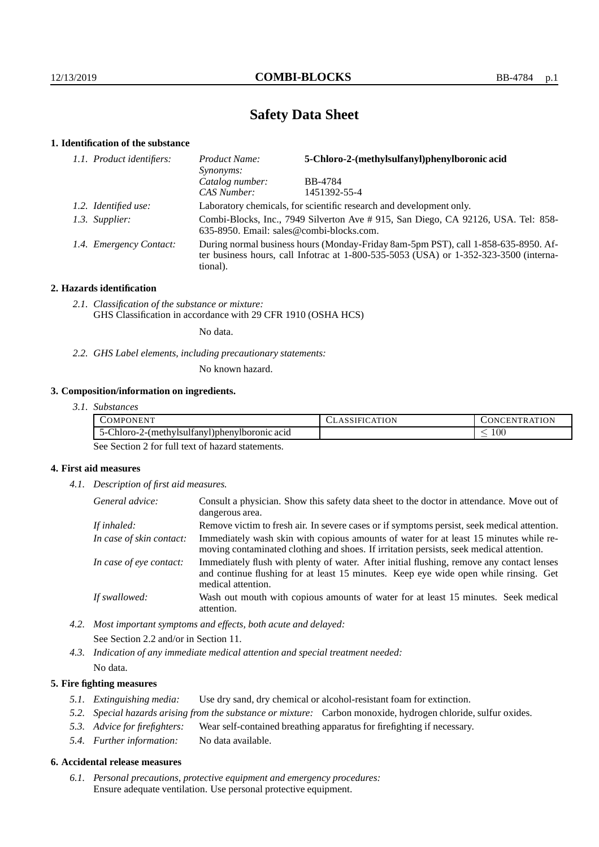## **Safety Data Sheet**

## **1. Identification of the substance**

| 1.1. Product identifiers: | Product Name:<br>Synonyms:                                                                                                                                                                  | 5-Chloro-2-(methylsulfanyl)phenylboronic acid |
|---------------------------|---------------------------------------------------------------------------------------------------------------------------------------------------------------------------------------------|-----------------------------------------------|
|                           | Catalog number:                                                                                                                                                                             | BB-4784                                       |
|                           | CAS Number:                                                                                                                                                                                 | 1451392-55-4                                  |
| 1.2. Identified use:      | Laboratory chemicals, for scientific research and development only.                                                                                                                         |                                               |
| 1.3. Supplier:            | Combi-Blocks, Inc., 7949 Silverton Ave # 915, San Diego, CA 92126, USA. Tel: 858-<br>635-8950. Email: sales@combi-blocks.com.                                                               |                                               |
| 1.4. Emergency Contact:   | During normal business hours (Monday-Friday 8am-5pm PST), call 1-858-635-8950. Af-<br>ter business hours, call Infotrac at $1-800-535-5053$ (USA) or $1-352-323-3500$ (interna-<br>tional). |                                               |

### **2. Hazards identification**

*2.1. Classification of the substance or mixture:* GHS Classification in accordance with 29 CFR 1910 (OSHA HCS)

No data.

*2.2. GHS Label elements, including precautionary statements:*

No known hazard.

## **3. Composition/information on ingredients.**

*3.1. Substances*

| .<br>$\Delta M$ PC<br><b>INF</b><br>n                                | $m \times n$ | $\cdots$<br>$\mathbf{N}$ |
|----------------------------------------------------------------------|--------------|--------------------------|
| . .<br>-hioro-<br>acid<br>2-(methylsulfany'<br>DohenvIboronic<br>ו-ר |              | 100                      |

See Section 2 for full text of hazard statements.

### **4. First aid measures**

*4.1. Description of first aid measures.*

| General advice:          | Consult a physician. Show this safety data sheet to the doctor in attendance. Move out of<br>dangerous area.                                                                                            |
|--------------------------|---------------------------------------------------------------------------------------------------------------------------------------------------------------------------------------------------------|
| If inhaled:              | Remove victim to fresh air. In severe cases or if symptoms persist, seek medical attention.                                                                                                             |
| In case of skin contact: | Immediately wash skin with copious amounts of water for at least 15 minutes while re-<br>moving contaminated clothing and shoes. If irritation persists, seek medical attention.                        |
| In case of eye contact:  | Immediately flush with plenty of water. After initial flushing, remove any contact lenses<br>and continue flushing for at least 15 minutes. Keep eye wide open while rinsing. Get<br>medical attention. |
| If swallowed:            | Wash out mouth with copious amounts of water for at least 15 minutes. Seek medical<br>attention.                                                                                                        |

*4.2. Most important symptoms and effects, both acute and delayed:* See Section 2.2 and/or in Section 11.

*4.3. Indication of any immediate medical attention and special treatment needed:* No data.

### **5. Fire fighting measures**

- *5.1. Extinguishing media:* Use dry sand, dry chemical or alcohol-resistant foam for extinction.
- *5.2. Special hazards arising from the substance or mixture:* Carbon monoxide, hydrogen chloride, sulfur oxides.
- *5.3. Advice for firefighters:* Wear self-contained breathing apparatus for firefighting if necessary.
- *5.4. Further information:* No data available.

### **6. Accidental release measures**

*6.1. Personal precautions, protective equipment and emergency procedures:* Ensure adequate ventilation. Use personal protective equipment.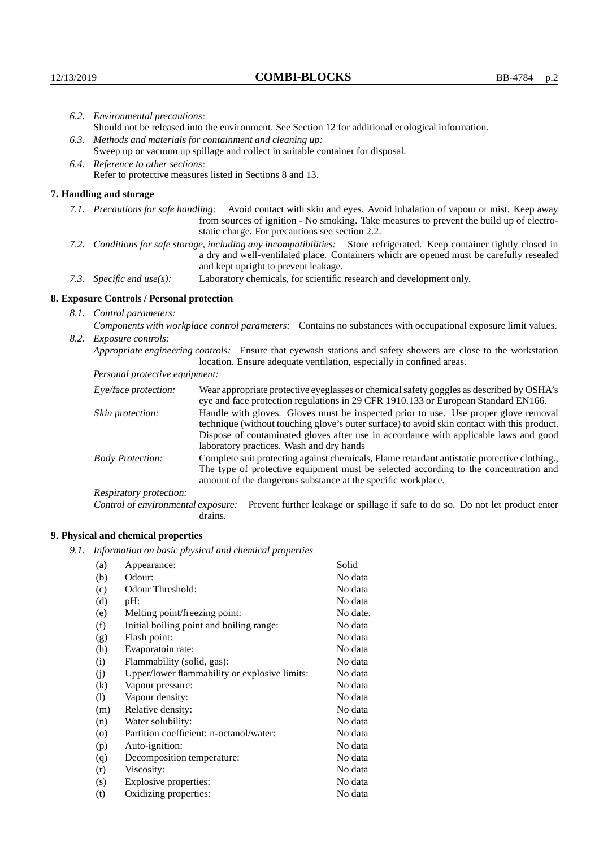| 6.2. Environmental precautions:                                                                                                                                                                                                                            |                                                                                                                                                                                                                                                                    |  |
|------------------------------------------------------------------------------------------------------------------------------------------------------------------------------------------------------------------------------------------------------------|--------------------------------------------------------------------------------------------------------------------------------------------------------------------------------------------------------------------------------------------------------------------|--|
|                                                                                                                                                                                                                                                            | Should not be released into the environment. See Section 12 for additional ecological information.                                                                                                                                                                 |  |
|                                                                                                                                                                                                                                                            | 6.3. Methods and materials for containment and cleaning up:                                                                                                                                                                                                        |  |
| Sweep up or vacuum up spillage and collect in suitable container for disposal.                                                                                                                                                                             |                                                                                                                                                                                                                                                                    |  |
| 6.4. Reference to other sections:                                                                                                                                                                                                                          |                                                                                                                                                                                                                                                                    |  |
|                                                                                                                                                                                                                                                            | Refer to protective measures listed in Sections 8 and 13.                                                                                                                                                                                                          |  |
| 7. Handling and storage                                                                                                                                                                                                                                    |                                                                                                                                                                                                                                                                    |  |
|                                                                                                                                                                                                                                                            | 7.1. Precautions for safe handling: Avoid contact with skin and eyes. Avoid inhalation of vapour or mist. Keep away<br>from sources of ignition - No smoking. Take measures to prevent the build up of electro-<br>static charge. For precautions see section 2.2. |  |
| 7.2. Conditions for safe storage, including any incompatibilities: Store refrigerated. Keep container tightly closed in<br>a dry and well-ventilated place. Containers which are opened must be carefully resealed<br>and kept upright to prevent leakage. |                                                                                                                                                                                                                                                                    |  |
| 7.3. Specific end use(s):                                                                                                                                                                                                                                  | Laboratory chemicals, for scientific research and development only.                                                                                                                                                                                                |  |
| 8. Exposure Controls / Personal protection                                                                                                                                                                                                                 |                                                                                                                                                                                                                                                                    |  |
| 8.1. Control parameters:                                                                                                                                                                                                                                   |                                                                                                                                                                                                                                                                    |  |
|                                                                                                                                                                                                                                                            | Components with workplace control parameters: Contains no substances with occupational exposure limit values.                                                                                                                                                      |  |
| 8.2. Exposure controls:                                                                                                                                                                                                                                    |                                                                                                                                                                                                                                                                    |  |
| Appropriate engineering controls: Ensure that eyewash stations and safety showers are close to the workstation<br>location. Ensure adequate ventilation, especially in confined areas.                                                                     |                                                                                                                                                                                                                                                                    |  |
| Personal protective equipment:                                                                                                                                                                                                                             |                                                                                                                                                                                                                                                                    |  |
| Eye/face protection:                                                                                                                                                                                                                                       | Wear appropriate protective eyeglasses or chemical safety goggles as described by OSHA's<br>eye and face protection regulations in 29 CFR 1910.133 or European Standard EN166.                                                                                     |  |
| Skin protection:                                                                                                                                                                                                                                           | Handle with gloves. Gloves must be inspected prior to use. Use proper glove removal<br>technique (without touching glove's outer surface) to avoid skin contact with this product                                                                                  |  |

## **8. Exposure Controls / Personal protection**

| Eye/face protection:               | Wear appropriate protective eyeglasses or chemical safety goggles as described by OSHA's<br>eye and face protection regulations in 29 CFR 1910.133 or European Standard EN166.                                                                                                                                         |  |  |
|------------------------------------|------------------------------------------------------------------------------------------------------------------------------------------------------------------------------------------------------------------------------------------------------------------------------------------------------------------------|--|--|
| Skin protection:                   | Handle with gloves. Gloves must be inspected prior to use. Use proper glove removal<br>technique (without touching glove's outer surface) to avoid skin contact with this product.<br>Dispose of contaminated gloves after use in accordance with applicable laws and good<br>laboratory practices. Wash and dry hands |  |  |
| <b>Body Protection:</b>            | Complete suit protecting against chemicals, Flame retardant antistatic protective clothing.,<br>The type of protective equipment must be selected according to the concentration and<br>amount of the dangerous substance at the specific workplace.                                                                   |  |  |
| Respiratory protection:            |                                                                                                                                                                                                                                                                                                                        |  |  |
| Control of environmental exposure: | Prevent further leakage or spillage if safe to do so. Do not let product enter<br>drains.                                                                                                                                                                                                                              |  |  |

# **9. Physical and chemical properties**

*9.1. Information on basic physical and chemical properties*

|          | njormanon on oasie prejsteat and enemieat propernes |          |
|----------|-----------------------------------------------------|----------|
| (a)      | Appearance:                                         | Solid    |
| (b)      | Odour:                                              | No data  |
| (c)      | Odour Threshold:                                    | No data  |
| (d)      | pH:                                                 | No data  |
| (e)      | Melting point/freezing point:                       | No date. |
| (f)      | Initial boiling point and boiling range:            | No data  |
| (g)      | Flash point:                                        | No data  |
| (h)      | Evaporatoin rate:                                   | No data  |
| (i)      | Flammability (solid, gas):                          | No data  |
| (j)      | Upper/lower flammability or explosive limits:       | No data  |
| $\rm(k)$ | Vapour pressure:                                    | No data  |
| (1)      | Vapour density:                                     | No data  |
| (m)      | Relative density:                                   | No data  |
| (n)      | Water solubility:                                   | No data  |
| $\circ$  | Partition coefficient: n-octanol/water:             | No data  |
| (p)      | Auto-ignition:                                      | No data  |
| (q)      | Decomposition temperature:                          | No data  |
| (r)      | Viscosity:                                          | No data  |
| (s)      | Explosive properties:                               | No data  |
| (t)      | Oxidizing properties:                               | No data  |
|          |                                                     |          |